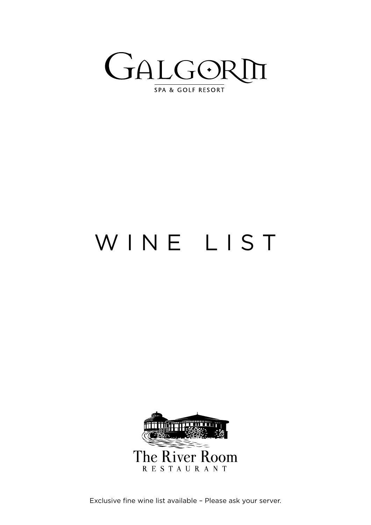

WINE LIST



Exclusive fine wine list available – Please ask your server.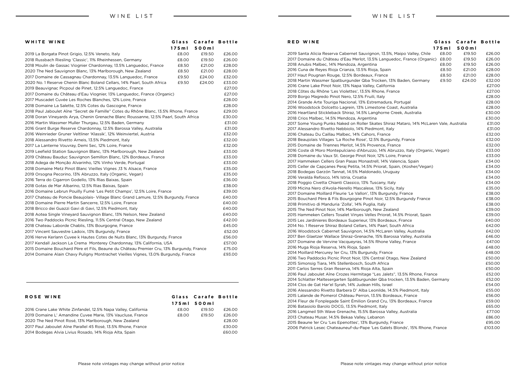| WHITE WINE                                                                              | Glass | <b>Carafe Bottle</b> |        |
|-----------------------------------------------------------------------------------------|-------|----------------------|--------|
|                                                                                         | 175m  | 500ml                |        |
| 2019 La Borgata Pinot Grigio, 12.5% Veneto, Italy                                       | £8.00 | £19.50               | £26.00 |
| 2018 Russbach Riesling 'Classic', 11% Rheinhessen, Germany                              | £8.00 | £19.50               | £26.00 |
| 2018 Moulin de Gassac Viognier Chardonnay, 13.5% Languedoc, France                      | £8.50 | £21.00               | £28.00 |
| 2020 The Ned Sauvignon Blanc, 13% Marlborough, New Zealand                              | £8.50 | £21.00               | £28.00 |
| 2017 Domaine de Cassagnau Chardonnay, 13.5% Languedoc, France                           | £9.50 | £24.00               | £32.00 |
| 2020 No. 1 Reserve Chenin Blanc Boland Cellars, 14% Paarl, South Africa                 | £9.50 | £24.00               | £33.00 |
| 2019 Beauvignac Picpoul de Pinet, 12.5% Languedoc, France                               |       |                      | £27.00 |
| 2017 Domaine du Château d'Eau Viognier, 13% Languedoc, France (Organic)                 |       |                      | £27.00 |
| 2017 Muscadet Cuvée Les Roches Blanches, 12% Loire, France                              |       |                      | £28.00 |
| 2018 Domaine La Salette, 12.5% Cotes du Gascogne, France                                |       |                      | £28.00 |
| 2018 Paul Jaboulet Aîne "Secret de Famille" Cotes du Rhône Blanc, 13.5% Rhone, France   |       |                      | £29.00 |
| 2018 Doran Vineyards Arya, Chenin Grenache Blanc Roussanne, 12.5% Paarl, South Africa   |       |                      | £30.00 |
| 2016 Martin Wassmer Muller Thurgau, 12.5% Baden, Germany                                |       |                      | £31.00 |
| 2016 Grant Burge Reserve Chardonnay, 12.5% Barossa Valley, Australia                    |       |                      | £31.00 |
| 2016 Weinrieder Gruner Veltliner 'Klassik', 12% Weinviertel, Austria                    |       |                      | £32.00 |
| 2018 Alessandro Rivetto Arneis, 13.5% Piedmont, Italy                                   |       |                      | £32.00 |
| 2017 La Lanterne Vouvray, Demi Sec, 12% Loire, France                                   |       |                      | £32.00 |
| 2019 Leefield Station Sauvignon Blanc, 13% Marlborough, New Zealand                     |       |                      | £33.00 |
| 2019 Château Bauduc Sauvignon Semillon Blanc, 12% Bordeaux, France                      |       |                      | £33.00 |
| 2018 Adega de Monção Alvarinho, 12% Vinho Verde, Portugal                               |       |                      | £33.00 |
| 2018 Domaine Metz Pinot Blanc Vieilles Vignes ,13 % Alsace, France                      |       |                      | £35.00 |
| 2019 Orsogna Pecorino, 13% Abruzzo, Italy (Organic, Vegan)                              |       |                      | £35.00 |
| 2016 Terra do Cigarron Godello, 13% Rias Baixas, Spain                                  |       |                      | £36.00 |
| 2018 Gotas de Mar Albarino, 12.5% Rias Baixas, Spain                                    |       |                      | £38.00 |
| 2016 Domaine Lebrun Pouilly Fumé 'Les Petit Champs', 12.5% Loire, France                |       |                      | £39.00 |
| 2017 Chateau de Poncie Beaujolais- Village Blanc Grand Lamure, 12.5% Burgundy, France   |       |                      | £40.00 |
| 2018 Domaine Pierre Martin Sancerre, 12.5% Loire, France                                |       |                      | £40.00 |
| 2018 Bricco dei Guazzi Gavi di Gavi, 12.5% Piedmont, Italy                              |       |                      | £40.00 |
| 2018 Aotea Single Vineyard Sauvignon Blanc, 13% Nelson, New Zealand                     |       |                      | £40.00 |
| 2016 Two Paddocks Picnic Riesling, 11.5% Central Otago, New Zealand                     |       |                      | £42.00 |
| 2018 Chateau Laborde Chablis, 13% Bourgogne, France                                     |       |                      | £45.00 |
| 2017 Vincent Sauvestre Ladoix, 13% Burgundy, France                                     |       |                      | £52.00 |
| 2016 Herve Kerlann Cuvee k Hautes Cotes de Nuits Blanc, 13% Burgundy, France            |       |                      | £56.00 |
| 2017 Kendall Jackson La Crema Monterey Chardonnay, 13% California, USA                  |       |                      | £57.00 |
| 2015 Domaine Bouchard Père et Fils, Beaune du Château Premier Cru, 13% Burgundy, France |       |                      | £75.00 |
| 2014 Domaine Alain Chavy Puligny Montrachet Vieilles Vignes, 13.0% Burgundy, France     |       |                      | £93.00 |

## **ROSE WINE Glass Carafe Bottle 175ml 500ml**

2016 Crane Lake White Zinfandel, 12.5% Napa Valley, California  $\qquad 68.00$  £19.50 £26.00 2019 Domaine L' Amandine Cuvee Marie, 13% Vaucluse, France  $\qquad \qquad$  £8.00  $\qquad$  £19.50  $\qquad$  £26.00 2020 The Ned Pinot Rosé, 13% Marlborough, New Zealand **Example 2010** 2020 The Ned Pinot Rosé, 13% Marlborough, New Zealand 2017 Paul Jaboulet Aîne Parallel 45 Rosé, 13.5% Rhone, France £30.00 2014 Bodegas Alvia Livius Rosado, 14% Rioja Alta, Spain £60.00

| <b>RED WINE</b>                                                                         | Glass | Carafe | <b>Bottle</b> |
|-----------------------------------------------------------------------------------------|-------|--------|---------------|
|                                                                                         | 175m  | 500ml  |               |
| 2019 Santa Alicia Reserva Cabernet Sauvignon, 13.5%, Maipo Valley, Chile                | £8.00 | £19.50 | £26.00        |
| 2017 Domaine du Château d'Eau Merlot, 13.5% Languedoc, France (Organic)                 | £8.00 | £19.50 | £26.00        |
| 2018 Anubis Malbec, 14% Mendoza, Argentina                                              | £8.00 | £19.50 | £26.00        |
| 2016 Cuna de Reyes Rioja Crianza, 13.5% Rioja, Spain                                    | £8.50 | £21.00 | £28.00        |
| 2017 Haut Pougnan Rouge, 12.5% Bordeaux, France                                         | £8.50 | £21.00 | £28.00        |
| 2018 Martin Wassmer Spatburgunder Qba Trocken, 13% Baden, Germany                       | £9.50 | £24.00 | £32.00        |
| 2016 Crane Lake Pinot Noir, 13% Napa Valley, California                                 |       |        | £27.00        |
| 2018 Côtes du Rhône 'Les Violettes', 13.5% Rhone, France                                |       |        | £27.00        |
| 2019 Borgo Magredo Pinot Nero, 12.5% Fruili, Italy                                      |       |        | £28.00        |
| 2014 Grande Arte Touriga Nacional, 13% Estremadura, Portugal                            |       |        | £28.00        |
| 2016 Woodstock Dolcetto Lagrein, 13% Limestone Coast, Australia                         |       |        | £28.00        |
| 2016 Heartland Stickleback Shiraz, 14.5% Langhorne Creek, Australia                     |       |        | £30.00        |
| 2018 Crios Malbec, 14.5% Mendoza, Argentina                                             |       |        | £30.00        |
| 2017 Some Young Punks Naked on Roller Skates Shiraz Mataro, 14% McLaren Vale, Australia |       |        | £31.00        |
| 2017 Alessandro Rivetto Nebbiolo, 14% Piedmont, Italy                                   |       |        | £31.00        |
| 2016 Chateau Du Caillau Malbec, 14% Cahors, France                                      |       |        | £32.00        |
| 2018 Beaujolais Villages 'La Roche Rose', 12.5% Burgundy, France                        |       |        | £32.00        |
| 2015 Domaine de Triennes Merlot, 14.5% Provence, France                                 |       |        | £32.00        |
| 2016 Coste di Moro Montepulciano d'Abruzzo, 14% Abruzzo, Italy (Organic, Vegan)         |       |        | £33.00        |
| 2018 Domaine du Vaux St. George Pinot Noir, 12% Loire, France                           |       |        | £33.00        |
| 2017 Hammeken Cellers Gran Pasas Monastrell, 14% Valencia, Spain                        |       |        | £34.00        |
| 2015 Celler de Capçanes Peraj Petita, 14.5% Priorat, Spain, (Kosher/Vegan)              |       |        | £34.00        |
| 2018 Bodegas Garzón Tannat, 14.5% Maldonado, Uruguay                                    |       |        | £34.00        |
| 2016 Veralda Refosco, 14% Istria, Croatia                                               |       |        | £34.00        |
| 2018 Poggio Civetta Chianti Classico, 13% Tuscany, Italy                                |       |        | £34.00        |
| 2019 Micina Nero d'Avola-Nerello Mascalese, 13% Sicily, Italy                           |       |        | £35.00        |
| 2017 Domaine Moillard Fleurie 'Le Vallon', 13% Burgundy, France                         |       |        | £38.00        |
| 2015 Bouchard Père & Fils Bourgogne Pinot Noir, 12.5% Burgundy France                   |       |        | £38.00        |
| 2018 Primitivo di Manduria 'Zolla', 14% Puglia, Italy                                   |       |        | £38.00        |
| 2015 The Ned Pinot Noir, 14% Marlborough, New Zealand                                   |       |        | £39.00        |
| 2015 Hammeken Cellers Tosalet Vinyes Velles Priorat, 14.5% Priorat, Spain               |       |        | £39.00        |
| 2015 Les Jardinieres Bordeaux Superieur, 13% Bordeaux, France                           |       |        | £40.00        |
| 2014 No. 1 Reserve Shiraz Boland Cellars, 14% Paarl, South Africa                       |       |        | £42.00        |
| 2016 Woodstock Cabernet Sauvignon, 14.5% McLaren Valley, Australia                      |       |        | £42.00        |
| 2017 Ben Glaetzer Wallace Shiraz-Grenache, 15% Barossa Valley, Australia                |       |        | £46.00        |
| 2017 Domaine de Vervine Vacqueyras, 14.5% Rhone Valley, France                          |       |        | £47.00        |
| 2016 Muga Rioja Reserva, 14% Rioja, Spain                                               |       |        | £48.00        |
| 2014 Moillard Mercurey 1er Cru, 13% Burgundy, France                                    |       |        | £48.00        |
| 2016 Two Paddocks Picnic Pinot Noir, 13% Central Otago, New Zealand                     |       |        | £50.00        |
| 2015 Simonsig Tiara, 14% Stellenbosch, South Africa                                     |       |        | £50.00        |
| 2011 Carlos Serres Gran Reserva, 14% Rioja Alta, Spain                                  |       |        | £50.00        |
| 2016 Paul Jaboulet Aîne Crozes Hermitage "Les Jalets", 13.5% Rhone, France              |       |        | £52.00        |
| 2014 Schlatter Maltesergarten Spätburgunder Qba trocken, 13.5% Baden, Germany           |       |        | £52.00        |
| 2014 Clos de Gat Har'el Syrah, 14% Judean Hills, Israel                                 |       |        | £54.00        |
| 2016 Alessandro Rivetto Barbera D' Alba Leonilde, 14.5% Piedmont, Italy                 |       |        | £55.00        |
| 2015 Lalande de Pomerol Château Perron, 13.5% Bordeaux, France                          |       |        | £56.00        |
| 2014 Fleur de Fonplegade Saint Émilion Grand Cru, 13% Bordeaux, France                  |       |        | £59.00        |
| 2016 Batasiolo Barolo DOCG, 13.5% Piedmont, Italy                                       |       |        | £65.00        |
| 2016 Langmeil 5th Wave Grenache, 15.5% Barossa Valley, Australia                        |       |        | £77.00        |
| 2013 Chateau Musar, 14.5% Bekaa Valley, Lebanon                                         |       |        | £86.00        |
| 2015 Beaune 1er Cru 'Les Epenottes', 13% Burgundy, France                               |       |        | £95.00        |
| 2006 Patrick Lesec Chateauneuf-du-Pape 'Les Galets Blonds', 15% Rhone, France           |       |        | £103.00       |